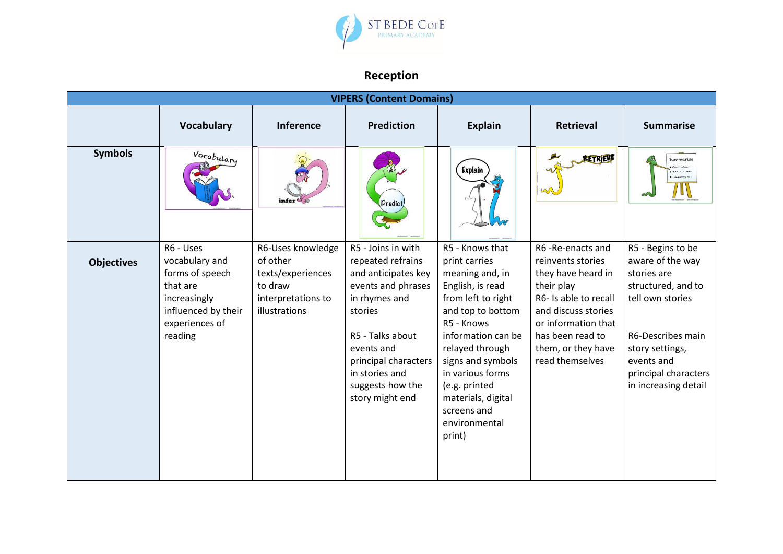

## **Reception**

| <b>VIPERS (Content Domains)</b> |                                                                                                                                |                                                                                                      |                                                                                                                                                                                                                                     |                                                                                                                                                                                                                                                                                                     |                                                                                                                                                                                                               |                                                                                                                                                                                                      |  |  |  |  |
|---------------------------------|--------------------------------------------------------------------------------------------------------------------------------|------------------------------------------------------------------------------------------------------|-------------------------------------------------------------------------------------------------------------------------------------------------------------------------------------------------------------------------------------|-----------------------------------------------------------------------------------------------------------------------------------------------------------------------------------------------------------------------------------------------------------------------------------------------------|---------------------------------------------------------------------------------------------------------------------------------------------------------------------------------------------------------------|------------------------------------------------------------------------------------------------------------------------------------------------------------------------------------------------------|--|--|--|--|
|                                 | <b>Vocabulary</b>                                                                                                              | Inference                                                                                            | <b>Prediction</b>                                                                                                                                                                                                                   | <b>Explain</b>                                                                                                                                                                                                                                                                                      | <b>Retrieval</b>                                                                                                                                                                                              | <b>Summarise</b>                                                                                                                                                                                     |  |  |  |  |
| <b>Symbols</b>                  | Vocabulary                                                                                                                     |                                                                                                      | Predict,                                                                                                                                                                                                                            | Explain                                                                                                                                                                                                                                                                                             | <b>RETRIEVE</b>                                                                                                                                                                                               | Summarise                                                                                                                                                                                            |  |  |  |  |
| <b>Objectives</b>               | R6 - Uses<br>vocabulary and<br>forms of speech<br>that are<br>increasingly<br>influenced by their<br>experiences of<br>reading | R6-Uses knowledge<br>of other<br>texts/experiences<br>to draw<br>interpretations to<br>illustrations | R5 - Joins in with<br>repeated refrains<br>and anticipates key<br>events and phrases<br>in rhymes and<br>stories<br>R5 - Talks about<br>events and<br>principal characters<br>in stories and<br>suggests how the<br>story might end | R5 - Knows that<br>print carries<br>meaning and, in<br>English, is read<br>from left to right<br>and top to bottom<br>R5 - Knows<br>information can be<br>relayed through<br>signs and symbols<br>in various forms<br>(e.g. printed<br>materials, digital<br>screens and<br>environmental<br>print) | R6-Re-enacts and<br>reinvents stories<br>they have heard in<br>their play<br>R6- Is able to recall<br>and discuss stories<br>or information that<br>has been read to<br>them, or they have<br>read themselves | R5 - Begins to be<br>aware of the way<br>stories are<br>structured, and to<br>tell own stories<br>R6-Describes main<br>story settings,<br>events and<br>principal characters<br>in increasing detail |  |  |  |  |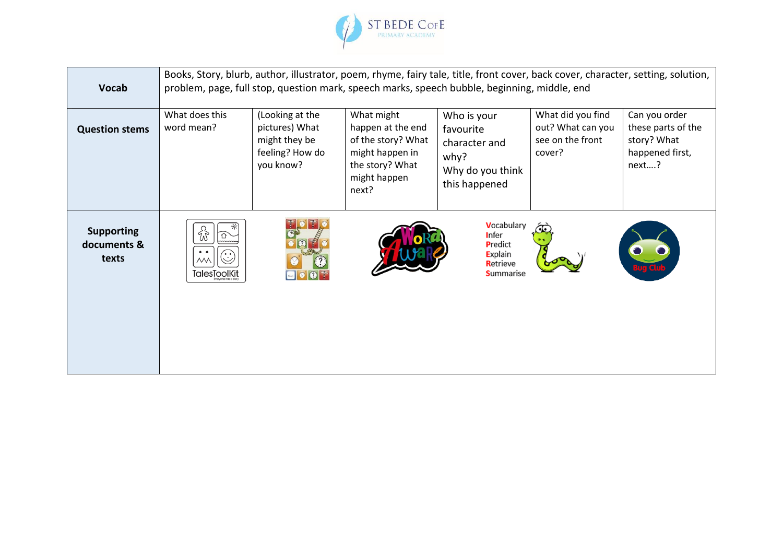

| <b>Vocab</b>                              | Books, Story, blurb, author, illustrator, poem, rhyme, fairy tale, title, front cover, back cover, character, setting, solution,<br>problem, page, full stop, question mark, speech marks, speech bubble, beginning, middle, end |                                                                                    |                                                                                                                      |                                                                                        |                                                                      |                                                                                |  |  |
|-------------------------------------------|----------------------------------------------------------------------------------------------------------------------------------------------------------------------------------------------------------------------------------|------------------------------------------------------------------------------------|----------------------------------------------------------------------------------------------------------------------|----------------------------------------------------------------------------------------|----------------------------------------------------------------------|--------------------------------------------------------------------------------|--|--|
| <b>Question stems</b>                     | What does this<br>word mean?                                                                                                                                                                                                     | (Looking at the<br>pictures) What<br>might they be<br>feeling? How do<br>you know? | What might<br>happen at the end<br>of the story? What<br>might happen in<br>the story? What<br>might happen<br>next? | Who is your<br>favourite<br>character and<br>why?<br>Why do you think<br>this happened | What did you find<br>out? What can you<br>see on the front<br>cover? | Can you order<br>these parts of the<br>story? What<br>happened first,<br>next? |  |  |
| <b>Supporting</b><br>documents &<br>texts | 钫<br>$\bullet\hspace{0.4mm}\bullet\hspace{0.4mm}$<br>$(\dot{\mathbb{C}})$<br>$M\setminus$<br><b>TalesToolKit</b>                                                                                                                 | T<br>Ť<br>$\Omega$ T                                                               |                                                                                                                      | Vocabulary<br>Infer<br>Predict<br>Explain<br>Retrieve<br><b>Summarise</b>              |                                                                      |                                                                                |  |  |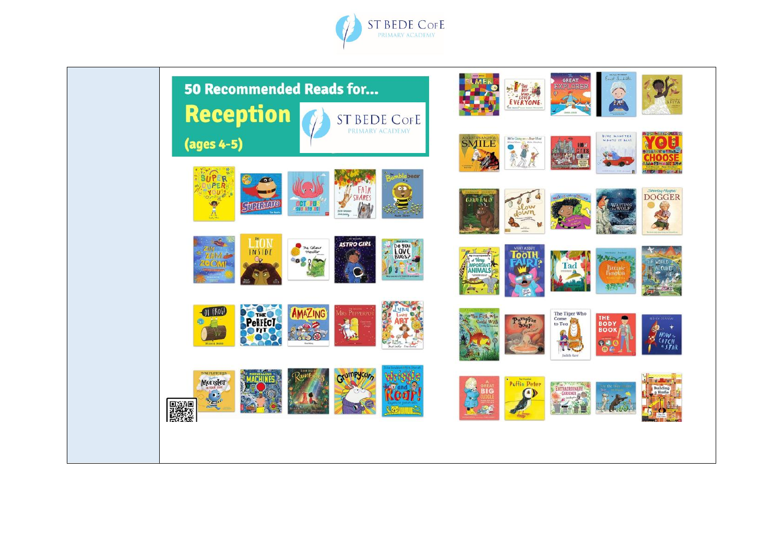